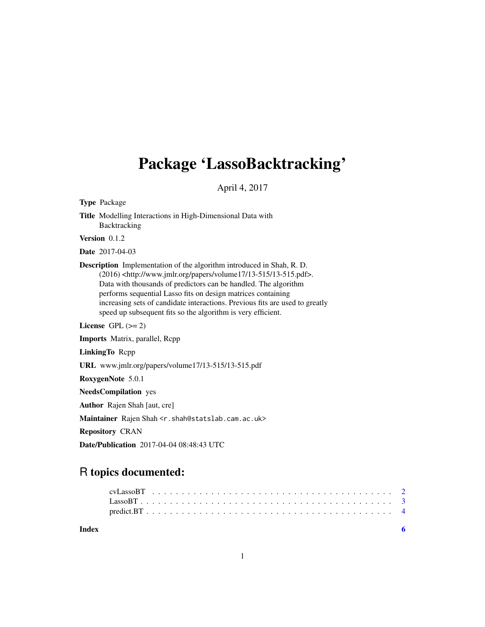# Package 'LassoBacktracking'

April 4, 2017

Type Package Title Modelling Interactions in High-Dimensional Data with Backtracking Version 0.1.2 Date 2017-04-03 Description Implementation of the algorithm introduced in Shah, R. D. (2016) <http://www.jmlr.org/papers/volume17/13-515/13-515.pdf>. Data with thousands of predictors can be handled. The algorithm performs sequential Lasso fits on design matrices containing increasing sets of candidate interactions. Previous fits are used to greatly speed up subsequent fits so the algorithm is very efficient. License GPL  $(>= 2)$ Imports Matrix, parallel, Rcpp LinkingTo Rcpp URL www.jmlr.org/papers/volume17/13-515/13-515.pdf RoxygenNote 5.0.1 NeedsCompilation yes Author Rajen Shah [aut, cre] Maintainer Rajen Shah <r.shah@statslab.cam.ac.uk> Repository CRAN

Date/Publication 2017-04-04 08:48:43 UTC

# R topics documented:

| Index |          |  |  |  |  |  |  |  |  |  |  |  |  |  |  |  |  |  |  |  |  |  |
|-------|----------|--|--|--|--|--|--|--|--|--|--|--|--|--|--|--|--|--|--|--|--|--|
|       |          |  |  |  |  |  |  |  |  |  |  |  |  |  |  |  |  |  |  |  |  |  |
|       | LassoBT. |  |  |  |  |  |  |  |  |  |  |  |  |  |  |  |  |  |  |  |  |  |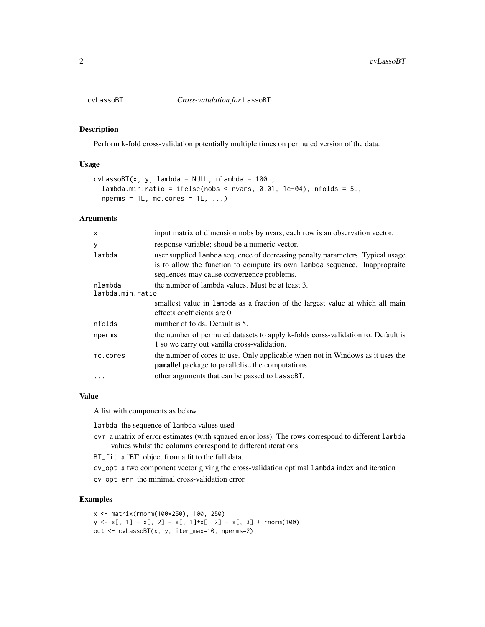<span id="page-1-1"></span><span id="page-1-0"></span>

#### Description

Perform k-fold cross-validation potentially multiple times on permuted version of the data.

#### Usage

```
cvLassoBT(x, y, lambda = NULL, nlambda = 100L,lambda.min.ratio = ifelse(nobs < nvars, 0.01, 1e-04), n folds = 5L,nperms = 1L, mc.cores = 1L, ...
```
### Arguments

| X                           | input matrix of dimension nobs by nvars; each row is an observation vector.                                                                                                                              |
|-----------------------------|----------------------------------------------------------------------------------------------------------------------------------------------------------------------------------------------------------|
| y                           | response variable; shoud be a numeric vector.                                                                                                                                                            |
| lambda                      | user supplied lambda sequence of decreasing penalty parameters. Typical usage<br>is to allow the function to compute its own lambda sequence. Inappropraite<br>sequences may cause convergence problems. |
| nlambda<br>lambda.min.ratio | the number of lambda values. Must be at least 3.                                                                                                                                                         |
|                             | smallest value in lambda as a fraction of the largest value at which all main<br>effects coefficients are 0.                                                                                             |
| nfolds                      | number of folds. Default is 5.                                                                                                                                                                           |
| nperms                      | the number of permuted datasets to apply k-folds corss-validation to. Default is<br>1 so we carry out vanilla cross-validation.                                                                          |
| mc.cores                    | the number of cores to use. Only applicable when not in Windows as it uses the<br><b>parallel</b> package to parallelise the computations.                                                               |
| .                           | other arguments that can be passed to LassoBT.                                                                                                                                                           |
|                             |                                                                                                                                                                                                          |

# Value

A list with components as below.

lambda the sequence of lambda values used

cvm a matrix of error estimates (with squared error loss). The rows correspond to different lambda values whilst the columns correspond to different iterations

BT\_fit a "BT" object from a fit to the full data.

cv\_opt a two component vector giving the cross-validation optimal lambda index and iteration

cv\_opt\_err the minimal cross-validation error.

## Examples

```
x <- matrix(rnorm(100*250), 100, 250)
y \leftarrow x[, 1] + x[, 2] - x[, 1] * x[, 2] + x[, 3] + \text{norm}(100)out <- cvLassoBT(x, y, iter_max=10, nperms=2)
```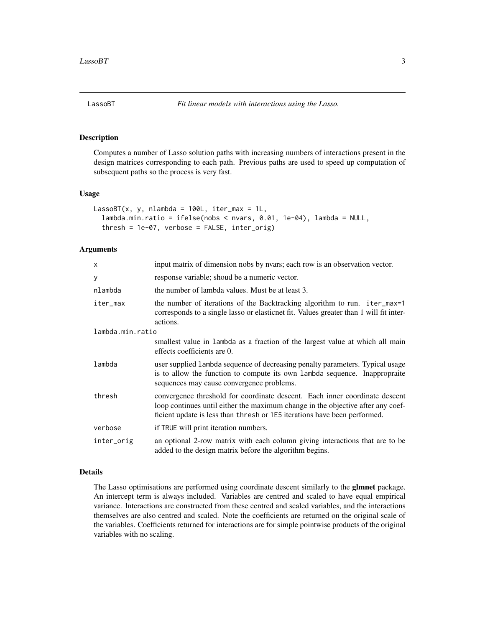<span id="page-2-0"></span>

#### Description

Computes a number of Lasso solution paths with increasing numbers of interactions present in the design matrices corresponding to each path. Previous paths are used to speed up computation of subsequent paths so the process is very fast.

#### Usage

```
LassoBT(x, y, \text{nlambda} = 100L, \text{iter_max} = 1L,lambda.min.ratio = ifelse(nobs < nvars, 0.01, 1e-04), lambda = NULL,
  thresh = 1e-07, verbose = FALSE, inter_orig)
```
# Arguments

| input matrix of dimension nobs by nyars; each row is an observation vector.                                                                                                                                                                 |
|---------------------------------------------------------------------------------------------------------------------------------------------------------------------------------------------------------------------------------------------|
| response variable; shoud be a numeric vector.                                                                                                                                                                                               |
| the number of lambda values. Must be at least 3.                                                                                                                                                                                            |
| the number of iterations of the Backtracking algorithm to run. iter_max=1<br>corresponds to a single lasso or elasticnet fit. Values greater than 1 will fit inter-<br>actions.                                                             |
| lambda.min.ratio                                                                                                                                                                                                                            |
| smallest value in lambda as a fraction of the largest value at which all main<br>effects coefficients are 0.                                                                                                                                |
| user supplied 1 ambda sequence of decreasing penalty parameters. Typical usage<br>is to allow the function to compute its own lambda sequence. Inappropraite<br>sequences may cause convergence problems.                                   |
| convergence threshold for coordinate descent. Each inner coordinate descent<br>loop continues until either the maximum change in the objective after any coef-<br>ficient update is less than thresh or 1E5 iterations have been performed. |
| if TRUE will print iteration numbers.                                                                                                                                                                                                       |
| an optional 2-row matrix with each column giving interactions that are to be<br>added to the design matrix before the algorithm begins.                                                                                                     |
|                                                                                                                                                                                                                                             |

# Details

The Lasso optimisations are performed using coordinate descent similarly to the glmnet package. An intercept term is always included. Variables are centred and scaled to have equal empirical variance. Interactions are constructed from these centred and scaled variables, and the interactions themselves are also centred and scaled. Note the coefficients are returned on the original scale of the variables. Coefficients returned for interactions are for simple pointwise products of the original variables with no scaling.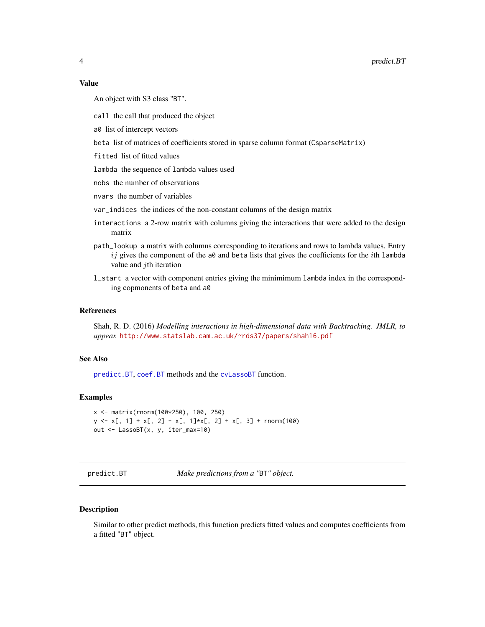#### <span id="page-3-0"></span>Value

An object with S3 class "BT".

call the call that produced the object

a0 list of intercept vectors

beta list of matrices of coefficients stored in sparse column format (CsparseMatrix)

fitted list of fitted values

lambda the sequence of lambda values used

nobs the number of observations

nvars the number of variables

var\_indices the indices of the non-constant columns of the design matrix

- interactions a 2-row matrix with columns giving the interactions that were added to the design matrix
- path\_lookup a matrix with columns corresponding to iterations and rows to lambda values. Entry ij gives the component of the a0 and beta lists that gives the coefficients for the *i*th lambda value and  $j$ th iteration
- l\_start a vector with component entries giving the minimimum lambda index in the corresponding copmonents of beta and a0

#### References

Shah, R. D. (2016) *Modelling interactions in high-dimensional data with Backtracking. JMLR, to appear.* <http://www.statslab.cam.ac.uk/~rds37/papers/shah16.pdf>

#### See Also

[predict.BT](#page-3-1), [coef.BT](#page-3-2) methods and the [cvLassoBT](#page-1-1) function.

#### Examples

```
x <- matrix(rnorm(100*250), 100, 250)
y \le x[, 1] + x[, 2] - x[, 1] * x[, 2] + x[, 3] + \text{norm}(100)out <- LassoBT(x, y, iter_max=10)
```
<span id="page-3-1"></span>predict.BT *Make predictions from a "*BT*" object.*

#### <span id="page-3-2"></span>Description

Similar to other predict methods, this function predicts fitted values and computes coefficients from a fitted "BT" object.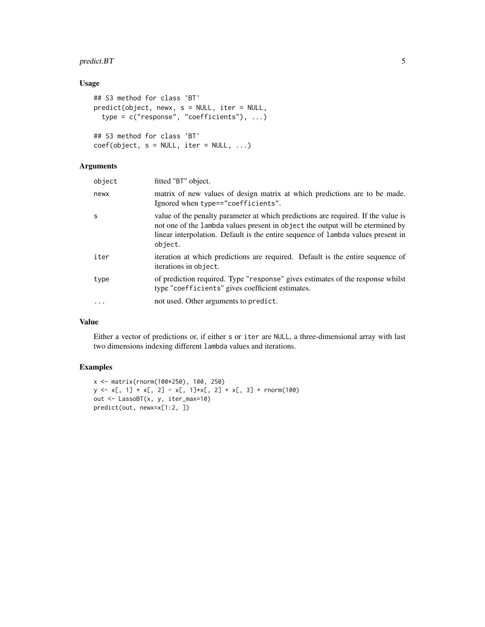# predict.BT 5

# Usage

```
## S3 method for class 'BT'
predict(object, newx, s = NULL, iter = NULL,
 type = c("response", "coefficients"), ...)
## S3 method for class 'BT'
coef(object, s = NULL, iter = NULL, ...)
```
# Arguments

| object   | fitted "BT" object.                                                                                                                                                                                                                                                |
|----------|--------------------------------------------------------------------------------------------------------------------------------------------------------------------------------------------------------------------------------------------------------------------|
| newx     | matrix of new values of design matrix at which predictions are to be made.<br>Ignored when type=="coefficients".                                                                                                                                                   |
| S        | value of the penalty parameter at which predictions are required. If the value is<br>not one of the lambda values present in object the output will be etermined by<br>linear interpolation. Default is the entire sequence of lambda values present in<br>object. |
| iter     | iteration at which predictions are required. Default is the entire sequence of<br>iterations in object.                                                                                                                                                            |
| type     | of prediction required. Type "response" gives estimates of the response whilst<br>type "coefficients" gives coefficient estimates.                                                                                                                                 |
| $\cdots$ | not used. Other arguments to predict.                                                                                                                                                                                                                              |
|          |                                                                                                                                                                                                                                                                    |

# Value

Either a vector of predictions or, if either s or iter are NULL, a three-dimensional array with last two dimensions indexing different lambda values and iterations.

# Examples

```
x <- matrix(rnorm(100*250), 100, 250)
y \le x[, 1] + x[, 2] - x[, 1] * x[, 2] + x[, 3] + \text{norm}(100)out <- LassoBT(x, y, iter_max=10)
predict(out, newx=x[1:2, ])
```